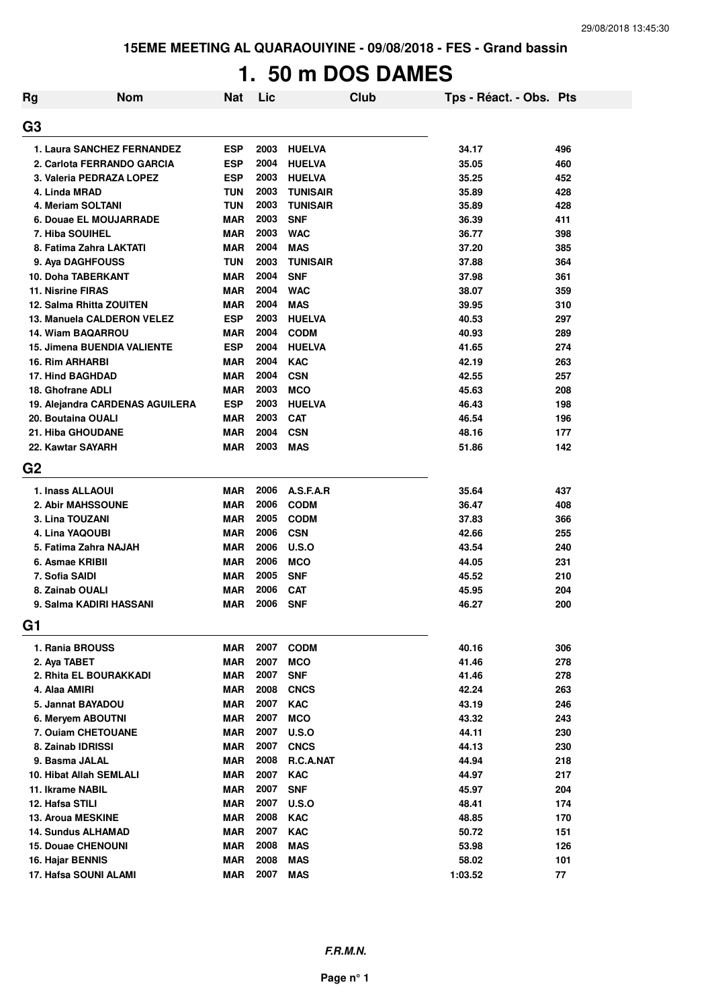**15EME MEETING AL QUARAOUIYINE - 09/08/2018 - FES - Grand bassin**

# **1. 50 m DOS DAMES**

| Rg             | <b>Nom</b>                             | <b>Nat</b>               | Lic  | <b>Club</b>              | Tps - Réact. - Obs. Pts |     |
|----------------|----------------------------------------|--------------------------|------|--------------------------|-------------------------|-----|
| G3             |                                        |                          |      |                          |                         |     |
|                |                                        |                          |      |                          |                         |     |
|                | 1. Laura SANCHEZ FERNANDEZ             | <b>ESP</b>               | 2003 | <b>HUELVA</b>            | 34.17                   | 496 |
|                | 2. Carlota FERRANDO GARCIA             | <b>ESP</b>               | 2004 | <b>HUELVA</b>            | 35.05                   | 460 |
|                | 3. Valeria PEDRAZA LOPEZ               | <b>ESP</b>               | 2003 | <b>HUELVA</b>            | 35.25                   | 452 |
|                | 4. Linda MRAD                          | TUN                      | 2003 | <b>TUNISAIR</b>          | 35.89                   | 428 |
|                | 4. Meriam SOLTANI                      | <b>TUN</b>               | 2003 | <b>TUNISAIR</b>          | 35.89                   | 428 |
|                | 6. Douae EL MOUJARRADE                 | <b>MAR</b>               | 2003 | <b>SNF</b>               | 36.39                   | 411 |
|                | 7. Hiba SOUIHEL                        | <b>MAR</b>               | 2003 | <b>WAC</b>               | 36.77                   | 398 |
|                | 8. Fatima Zahra LAKTATI                | <b>MAR</b>               | 2004 | <b>MAS</b>               | 37.20                   | 385 |
|                | 9. Aya DAGHFOUSS                       | <b>TUN</b>               | 2003 | <b>TUNISAIR</b>          | 37.88                   | 364 |
|                | 10. Doha TABERKANT                     | <b>MAR</b>               | 2004 | <b>SNF</b>               | 37.98                   | 361 |
|                | <b>11. Nisrine FIRAS</b>               | <b>MAR</b>               | 2004 | <b>WAC</b>               | 38.07                   | 359 |
|                | 12. Salma Rhitta ZOUITEN               | <b>MAR</b>               | 2004 | <b>MAS</b>               | 39.95                   | 310 |
|                | 13. Manuela CALDERON VELEZ             | <b>ESP</b>               | 2003 | <b>HUELVA</b>            | 40.53                   | 297 |
|                | 14. Wiam BAQARROU                      | <b>MAR</b>               | 2004 | <b>CODM</b>              | 40.93                   | 289 |
|                | <b>15. Jimena BUENDIA VALIENTE</b>     | <b>ESP</b>               | 2004 | <b>HUELVA</b>            | 41.65                   | 274 |
|                | 16. Rim ARHARBI                        | <b>MAR</b>               | 2004 | <b>KAC</b>               | 42.19                   | 263 |
|                | 17. Hind BAGHDAD                       | <b>MAR</b>               | 2004 | <b>CSN</b>               | 42.55                   | 257 |
|                | 18. Ghofrane ADLI                      | <b>MAR</b>               | 2003 | <b>MCO</b>               | 45.63                   | 208 |
|                | 19. Alejandra CARDENAS AGUILERA        | <b>ESP</b>               | 2003 | <b>HUELVA</b>            | 46.43                   | 198 |
|                | 20. Boutaina OUALI                     | <b>MAR</b>               | 2003 | <b>CAT</b>               | 46.54                   | 196 |
|                | 21. Hiba GHOUDANE                      | <b>MAR</b>               | 2004 | <b>CSN</b>               | 48.16                   | 177 |
|                | 22. Kawtar SAYARH                      | <b>MAR</b>               | 2003 | <b>MAS</b>               | 51.86                   | 142 |
| G <sub>2</sub> |                                        |                          |      |                          |                         |     |
|                | 1. Inass ALLAOUI                       | <b>MAR</b>               | 2006 | A.S.F.A.R                | 35.64                   | 437 |
|                | 2. Abir MAHSSOUNE                      | <b>MAR</b>               | 2006 | <b>CODM</b>              | 36.47                   | 408 |
|                | 3. Lina TOUZANI                        | <b>MAR</b>               | 2005 | <b>CODM</b>              | 37.83                   | 366 |
|                | 4. Lina YAQOUBI                        | MAR                      | 2006 | <b>CSN</b>               | 42.66                   | 255 |
|                | 5. Fatima Zahra NAJAH                  | MAR                      | 2006 | U.S.O                    | 43.54                   | 240 |
|                | 6. Asmae KRIBII                        | <b>MAR</b>               | 2006 | <b>MCO</b>               | 44.05                   | 231 |
|                | 7. Sofia SAIDI                         | MAR                      | 2005 | <b>SNF</b>               | 45.52                   | 210 |
|                | 8. Zainab OUALI                        | <b>MAR</b>               | 2006 | <b>CAT</b>               | 45.95                   | 204 |
|                | 9. Salma KADIRI HASSANI                | <b>MAR</b>               | 2006 | <b>SNF</b>               | 46.27                   | 200 |
| G1             |                                        |                          |      |                          |                         |     |
|                |                                        | <b>MAR</b>               | 2007 |                          |                         |     |
|                | 1. Rania BROUSS                        |                          | 2007 | <b>CODM</b>              | 40.16                   | 306 |
|                | 2. Aya TABET<br>2. Rhita EL BOURAKKADI | <b>MAR</b><br><b>MAR</b> | 2007 | <b>MCO</b><br><b>SNF</b> | 41.46                   | 278 |
|                |                                        |                          | 2008 |                          | 41.46                   | 278 |
|                | 4. Alaa AMIRI                          | <b>MAR</b>               | 2007 | <b>CNCS</b>              | 42.24                   | 263 |
|                | 5. Jannat BAYADOU                      | <b>MAR</b>               |      | <b>KAC</b>               | 43.19                   | 246 |
|                | 6. Meryem ABOUTNI                      | <b>MAR</b>               | 2007 | <b>MCO</b>               | 43.32                   | 243 |
|                | 7. Ouiam CHETOUANE                     | <b>MAR</b>               | 2007 | <b>U.S.O</b>             | 44.11                   | 230 |
|                | 8. Zainab IDRISSI                      | <b>MAR</b>               | 2007 | <b>CNCS</b>              | 44.13                   | 230 |
|                | 9. Basma JALAL                         | <b>MAR</b>               | 2008 | R.C.A.NAT                | 44.94                   | 218 |
|                | 10. Hibat Allah SEMLALI                | <b>MAR</b>               | 2007 | <b>KAC</b>               | 44.97                   | 217 |
|                | 11. Ikrame NABIL                       | <b>MAR</b>               | 2007 | <b>SNF</b>               | 45.97                   | 204 |
|                | 12. Hafsa STILI                        | <b>MAR</b>               | 2007 | <b>U.S.O</b>             | 48.41                   | 174 |
|                | <b>13. Aroua MESKINE</b>               | <b>MAR</b>               | 2008 | <b>KAC</b>               | 48.85                   | 170 |
|                | <b>14. Sundus ALHAMAD</b>              | <b>MAR</b>               | 2007 | <b>KAC</b>               | 50.72                   | 151 |
|                | <b>15. Douae CHENOUNI</b>              | <b>MAR</b>               | 2008 | <b>MAS</b>               | 53.98                   | 126 |
|                | 16. Hajar BENNIS                       | <b>MAR</b>               | 2008 | <b>MAS</b>               | 58.02                   | 101 |
|                | 17. Hafsa SOUNI ALAMI                  | <b>MAR</b>               | 2007 | <b>MAS</b>               | 1:03.52                 | 77  |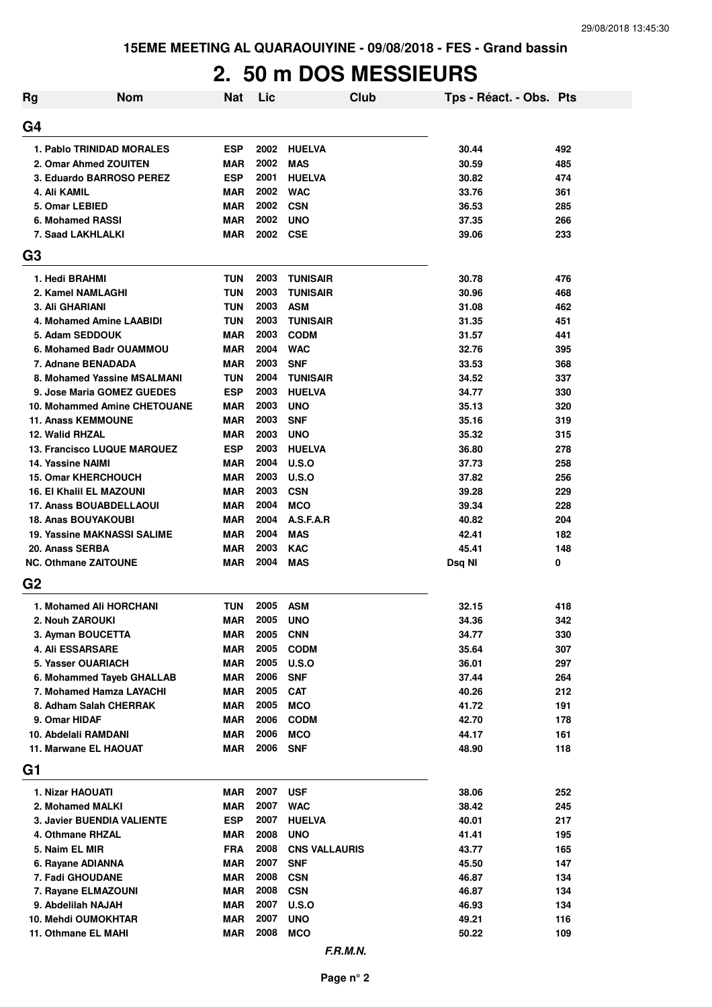# **2. 50 m DOS MESSIEURS**

| Rg | <b>Nom</b>                         | <b>Nat</b> | Lic  | <b>Club</b>          | Tps - Réact. - Obs. Pts |     |
|----|------------------------------------|------------|------|----------------------|-------------------------|-----|
| G4 |                                    |            |      |                      |                         |     |
|    | 1. Pablo TRINIDAD MORALES          | <b>ESP</b> | 2002 | <b>HUELVA</b>        | 30.44                   | 492 |
|    | 2. Omar Ahmed ZOUITEN              | <b>MAR</b> | 2002 | <b>MAS</b>           | 30.59                   | 485 |
|    | 3. Eduardo BARROSO PEREZ           | <b>ESP</b> | 2001 | <b>HUELVA</b>        | 30.82                   | 474 |
|    | 4. Ali KAMIL                       | <b>MAR</b> | 2002 | <b>WAC</b>           | 33.76                   | 361 |
|    | 5. Omar LEBIED                     | <b>MAR</b> | 2002 | <b>CSN</b>           | 36.53                   | 285 |
|    | 6. Mohamed RASSI                   | <b>MAR</b> | 2002 | <b>UNO</b>           | 37.35                   | 266 |
|    | 7. Saad LAKHLALKI                  | <b>MAR</b> | 2002 | <b>CSE</b>           | 39.06                   | 233 |
| G3 |                                    |            |      |                      |                         |     |
|    | 1. Hedi BRAHMI                     | <b>TUN</b> | 2003 | <b>TUNISAIR</b>      | 30.78                   | 476 |
|    | 2. Kamel NAMLAGHI                  | <b>TUN</b> | 2003 | <b>TUNISAIR</b>      | 30.96                   | 468 |
|    | 3. Ali GHARIANI                    | TUN        | 2003 | <b>ASM</b>           | 31.08                   | 462 |
|    | 4. Mohamed Amine LAABIDI           | TUN        | 2003 | <b>TUNISAIR</b>      | 31.35                   | 451 |
|    | 5. Adam SEDDOUK                    | <b>MAR</b> | 2003 | <b>CODM</b>          | 31.57                   | 441 |
|    | 6. Mohamed Badr OUAMMOU            | <b>MAR</b> | 2004 | <b>WAC</b>           | 32.76                   | 395 |
|    | 7. Adnane BENADADA                 | <b>MAR</b> | 2003 | <b>SNF</b>           | 33.53                   | 368 |
|    | 8. Mohamed Yassine MSALMANI        | <b>TUN</b> | 2004 | <b>TUNISAIR</b>      | 34.52                   | 337 |
|    | 9. Jose Maria GOMEZ GUEDES         | <b>ESP</b> | 2003 | <b>HUELVA</b>        | 34.77                   | 330 |
|    | 10. Mohammed Amine CHETOUANE       | <b>MAR</b> | 2003 | <b>UNO</b>           | 35.13                   | 320 |
|    | <b>11. Anass KEMMOUNE</b>          | <b>MAR</b> | 2003 | <b>SNF</b>           | 35.16                   | 319 |
|    | 12. Walid RHZAL                    | <b>MAR</b> | 2003 | <b>UNO</b>           | 35.32                   | 315 |
|    | <b>13. Francisco LUQUE MARQUEZ</b> | <b>ESP</b> | 2003 | <b>HUELVA</b>        | 36.80                   | 278 |
|    | <b>14. Yassine NAIMI</b>           | <b>MAR</b> | 2004 | U.S.O                | 37.73                   | 258 |
|    | <b>15. Omar KHERCHOUCH</b>         | <b>MAR</b> | 2003 | U.S.O                | 37.82                   | 256 |
|    | <b>16. El Khalil EL MAZOUNI</b>    | <b>MAR</b> | 2003 | <b>CSN</b>           | 39.28                   | 229 |
|    | <b>17. Anass BOUABDELLAOUI</b>     | <b>MAR</b> | 2004 | <b>MCO</b>           | 39.34                   | 228 |
|    | <b>18. Anas BOUYAKOUBI</b>         | <b>MAR</b> | 2004 | A.S.F.A.R            | 40.82                   | 204 |
|    | <b>19. Yassine MAKNASSI SALIME</b> | <b>MAR</b> | 2004 | <b>MAS</b>           | 42.41                   | 182 |
|    | 20. Anass SERBA                    | <b>MAR</b> | 2003 | <b>KAC</b>           | 45.41                   | 148 |
|    | <b>NC. Othmane ZAITOUNE</b>        | <b>MAR</b> | 2004 | <b>MAS</b>           | Dsq NI                  | 0   |
| G2 |                                    |            |      |                      |                         |     |
|    | 1. Mohamed Ali HORCHANI            | TUN        | 2005 | <b>ASM</b>           | 32.15                   | 418 |
|    | 2. Nouh ZAROUKI                    | <b>MAR</b> | 2005 | <b>UNO</b>           | 34.36                   | 342 |
|    | 3. Ayman BOUCETTA                  | <b>MAR</b> | 2005 | <b>CNN</b>           | 34.77                   | 330 |
|    | <b>4. Ali ESSARSARE</b>            | <b>MAR</b> | 2005 | <b>CODM</b>          | 35.64                   | 307 |
|    | 5. Yasser OUARIACH                 | <b>MAR</b> | 2005 | <b>U.S.O</b>         | 36.01                   | 297 |
|    | 6. Mohammed Tayeb GHALLAB          | <b>MAR</b> | 2006 | <b>SNF</b>           | 37.44                   | 264 |
|    | 7. Mohamed Hamza LAYACHI           | MAR        | 2005 | <b>CAT</b>           | 40.26                   | 212 |
|    | 8. Adham Salah CHERRAK             | <b>MAR</b> | 2005 | <b>MCO</b>           | 41.72                   | 191 |
|    | 9. Omar HIDAF                      | <b>MAR</b> | 2006 | <b>CODM</b>          | 42.70                   | 178 |
|    | 10. Abdelali RAMDANI               | <b>MAR</b> | 2006 | <b>MCO</b>           | 44.17                   | 161 |
|    | 11. Marwane EL HAOUAT              | <b>MAR</b> | 2006 | <b>SNF</b>           | 48.90                   | 118 |
| G1 |                                    |            |      |                      |                         |     |
|    | 1. Nizar HAOUATI                   | MAR        | 2007 | <b>USF</b>           | 38.06                   | 252 |
|    | 2. Mohamed MALKI                   | MAR        | 2007 | <b>WAC</b>           | 38.42                   | 245 |
|    | 3. Javier BUENDIA VALIENTE         | <b>ESP</b> | 2007 | <b>HUELVA</b>        | 40.01                   | 217 |
|    | 4. Othmane RHZAL                   | <b>MAR</b> | 2008 | <b>UNO</b>           | 41.41                   | 195 |
|    | 5. Naim EL MIR                     | <b>FRA</b> | 2008 | <b>CNS VALLAURIS</b> | 43.77                   | 165 |
|    | 6. Rayane ADIANNA                  | <b>MAR</b> | 2007 | <b>SNF</b>           | 45.50                   | 147 |
|    | 7. Fadi GHOUDANE                   | <b>MAR</b> | 2008 | <b>CSN</b>           | 46.87                   | 134 |
|    | 7. Rayane ELMAZOUNI                | <b>MAR</b> | 2008 | <b>CSN</b>           | 46.87                   | 134 |
|    | 9. Abdelilah NAJAH                 | <b>MAR</b> | 2007 | <b>U.S.O</b>         | 46.93                   | 134 |
|    | <b>10. Mehdi OUMOKHTAR</b>         | <b>MAR</b> | 2007 | <b>UNO</b>           | 49.21                   | 116 |
|    | 11. Othmane EL MAHI                | <b>MAR</b> | 2008 | <b>MCO</b>           | 50.22                   | 109 |
|    |                                    |            |      |                      |                         |     |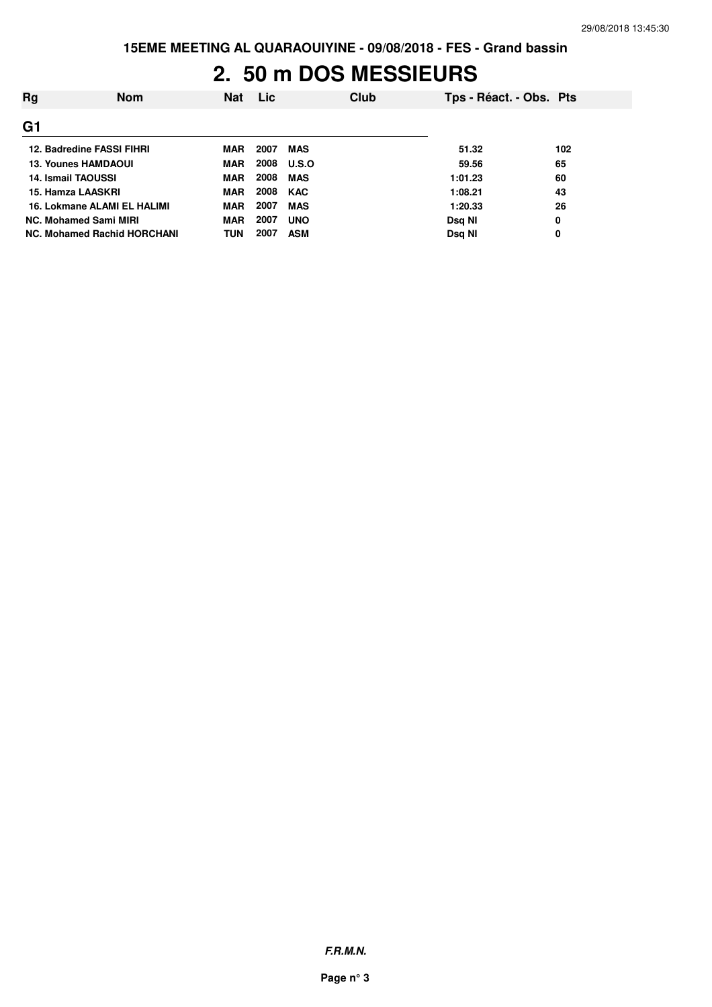# **2. 50 m DOS MESSIEURS**

| Rg | <b>Nom</b>                  | <b>Nat</b> | <b>Lic</b> | Club         |         | Tps - Réact. - Obs. Pts |
|----|-----------------------------|------------|------------|--------------|---------|-------------------------|
| G1 |                             |            |            |              |         |                         |
|    | 12. Badredine FASSI FIHRI   | MAR        | 2007       | <b>MAS</b>   | 51.32   | 102                     |
|    | <b>13. Younes HAMDAOUI</b>  | MAR        | 2008       | <b>U.S.O</b> | 59.56   | 65                      |
|    | <b>14. Ismail TAOUSSI</b>   | <b>MAR</b> | 2008       | <b>MAS</b>   | 1:01.23 | 60                      |
|    | 15. Hamza LAASKRI           | MAR        | 2008       | <b>KAC</b>   | 1:08.21 | 43                      |
|    | 16. Lokmane ALAMI EL HALIMI | MAR        | 2007       | <b>MAS</b>   | 1:20.33 | 26                      |
|    | NC. Mohamed Sami MIRI       | <b>MAR</b> | 2007       | <b>UNO</b>   | Dsg NI  | 0                       |
|    | NC. Mohamed Rachid HORCHANI | <b>TUN</b> | 2007       | <b>ASM</b>   | Dsg NI  | 0                       |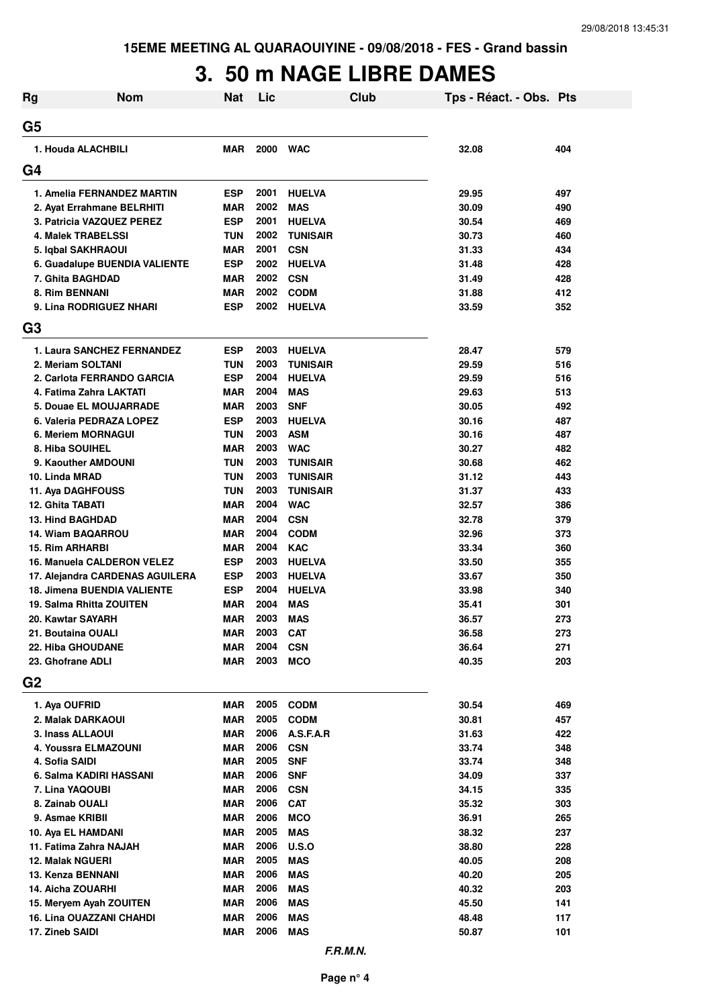# **3. 50 m NAGE LIBRE DAMES**

| Rg             | <b>Nom</b>                             | <b>Nat</b>               | Lic          |                          | Club | Tps - Réact. - Obs. Pts |            |
|----------------|----------------------------------------|--------------------------|--------------|--------------------------|------|-------------------------|------------|
| G5             |                                        |                          |              |                          |      |                         |            |
|                | 1. Houda ALACHBILI                     | <b>MAR</b>               | 2000         | <b>WAC</b>               |      | 32.08                   | 404        |
| G4             |                                        |                          |              |                          |      |                         |            |
|                | 1. Amelia FERNANDEZ MARTIN             | <b>ESP</b>               | 2001         | <b>HUELVA</b>            |      | 29.95                   | 497        |
|                | 2. Ayat Errahmane BELRHITI             | <b>MAR</b>               | 2002         | <b>MAS</b>               |      | 30.09                   | 490        |
|                | 3. Patricia VAZQUEZ PEREZ              | <b>ESP</b>               | 2001         | <b>HUELVA</b>            |      | 30.54                   | 469        |
|                | 4. Malek TRABELSSI                     | <b>TUN</b>               | 2002         | <b>TUNISAIR</b>          |      | 30.73                   | 460        |
|                | 5. Iqbal SAKHRAOUI                     | <b>MAR</b>               | 2001         | <b>CSN</b>               |      | 31.33                   | 434        |
|                | 6. Guadalupe BUENDIA VALIENTE          | <b>ESP</b>               | 2002         | <b>HUELVA</b>            |      | 31.48                   | 428        |
|                | 7. Ghita BAGHDAD                       | <b>MAR</b>               | 2002         | <b>CSN</b>               |      | 31.49                   | 428        |
|                | 8. Rim BENNANI                         | <b>MAR</b>               | 2002         | <b>CODM</b>              |      | 31.88                   | 412        |
|                | 9. Lina RODRIGUEZ NHARI                | <b>ESP</b>               | 2002         | <b>HUELVA</b>            |      | 33.59                   | 352        |
| G <sub>3</sub> |                                        |                          |              |                          |      |                         |            |
|                | 1. Laura SANCHEZ FERNANDEZ             | <b>ESP</b>               | 2003         | <b>HUELVA</b>            |      | 28.47                   | 579        |
|                | 2. Meriam SOLTANI                      | <b>TUN</b>               | 2003         | <b>TUNISAIR</b>          |      | 29.59                   | 516        |
|                | 2. Carlota FERRANDO GARCIA             | <b>ESP</b>               | 2004         | <b>HUELVA</b>            |      | 29.59                   | 516        |
|                | 4. Fatima Zahra LAKTATI                | <b>MAR</b>               | 2004         | <b>MAS</b>               |      | 29.63                   | 513        |
|                | 5. Douae EL MOUJARRADE                 | <b>MAR</b>               | 2003         | <b>SNF</b>               |      | 30.05                   | 492        |
|                | 6. Valeria PEDRAZA LOPEZ               | <b>ESP</b>               | 2003         | <b>HUELVA</b>            |      | 30.16                   | 487        |
|                | 6. Meriem MORNAGUI                     | <b>TUN</b>               | 2003         | <b>ASM</b>               |      | 30.16                   | 487        |
|                | 8. Hiba SOUIHEL                        | <b>MAR</b>               | 2003         | <b>WAC</b>               |      | 30.27                   | 482        |
|                | 9. Kaouther AMDOUNI                    | <b>TUN</b>               | 2003         | <b>TUNISAIR</b>          |      | 30.68                   | 462        |
|                | 10. Linda MRAD                         | <b>TUN</b>               | 2003         | <b>TUNISAIR</b>          |      | 31.12                   | 443        |
|                | 11. Aya DAGHFOUSS                      | <b>TUN</b>               | 2003         | <b>TUNISAIR</b>          |      | 31.37                   | 433        |
|                | 12. Ghita TABATI                       | <b>MAR</b>               | 2004         | <b>WAC</b>               |      | 32.57                   | 386        |
|                | <b>13. Hind BAGHDAD</b>                | <b>MAR</b>               | 2004         | <b>CSN</b>               |      | 32.78                   | 379        |
|                | 14. Wiam BAQARROU                      | <b>MAR</b>               | 2004         | <b>CODM</b>              |      | 32.96                   | 373        |
|                | <b>15. Rim ARHARBI</b>                 | <b>MAR</b>               | 2004         | <b>KAC</b>               |      | 33.34                   | 360        |
|                | 16. Manuela CALDERON VELEZ             | <b>ESP</b>               | 2003         | <b>HUELVA</b>            |      | 33.50                   | 355        |
|                | 17. Alejandra CARDENAS AGUILERA        | ESP                      | 2003         | <b>HUELVA</b>            |      | 33.67                   | 350        |
|                | <b>18. Jimena BUENDIA VALIENTE</b>     | ESP                      | 2004         | <b>HUELVA</b>            |      | 33.98                   | 340        |
|                | 19. Salma Rhitta ZOUITEN               | <b>MAR</b>               | 2004<br>2003 | <b>MAS</b>               |      | 35.41                   | 301        |
|                | 20. Kawtar SAYARH                      | <b>MAR</b>               |              | <b>MAS</b>               |      | 36.57                   | 273        |
|                | 21. Boutaina OUALI                     | <b>MAR</b>               | 2003<br>2004 | <b>CAT</b>               |      | 36.58                   | 273        |
|                | 22. Hiba GHOUDANE                      | <b>MAR</b>               | 2003         | <b>CSN</b>               |      | 36.64                   | 271        |
| G <sub>2</sub> | 23. Ghofrane ADLI                      | <b>MAR</b>               |              | <b>MCO</b>               |      | 40.35                   | 203        |
|                |                                        |                          |              |                          |      |                         |            |
|                | 1. Aya OUFRID                          | <b>MAR</b>               | 2005         | <b>CODM</b>              |      | 30.54                   | 469        |
|                | 2. Malak DARKAOUI                      | MAR                      | 2005         | <b>CODM</b>              |      | 30.81                   | 457        |
|                | 3. Inass ALLAOUI                       | MAR                      | 2006<br>2006 | A.S.F.A.R                |      | 31.63                   | 422        |
|                | 4. Youssra ELMAZOUNI<br>4. Sofia SAIDI | <b>MAR</b><br><b>MAR</b> | 2005         | <b>CSN</b><br><b>SNF</b> |      | 33.74<br>33.74          | 348<br>348 |
|                | 6. Salma KADIRI HASSANI                | <b>MAR</b>               | 2006         | <b>SNF</b>               |      | 34.09                   | 337        |
|                | 7. Lina YAQOUBI                        | <b>MAR</b>               | 2006         | <b>CSN</b>               |      | 34.15                   | 335        |
|                | 8. Zainab OUALI                        | MAR                      | 2006         | <b>CAT</b>               |      | 35.32                   | 303        |
|                | 9. Asmae KRIBII                        | MAR                      | 2006         | <b>MCO</b>               |      | 36.91                   | 265        |
|                | 10. Aya EL HAMDANI                     | <b>MAR</b>               | 2005         | <b>MAS</b>               |      | 38.32                   | 237        |
|                | 11. Fatima Zahra NAJAH                 | <b>MAR</b>               | 2006         | U.S.O                    |      | 38.80                   | 228        |
|                | <b>12. Malak NGUERI</b>                | <b>MAR</b>               | 2005         | <b>MAS</b>               |      | 40.05                   | 208        |
|                | 13. Kenza BENNANI                      | <b>MAR</b>               | 2006         | <b>MAS</b>               |      | 40.20                   | 205        |
|                | 14. Aicha ZOUARHI                      | <b>MAR</b>               | 2006         | <b>MAS</b>               |      | 40.32                   | 203        |
|                | 15. Meryem Ayah ZOUITEN                | <b>MAR</b>               | 2006         | <b>MAS</b>               |      | 45.50                   | 141        |
|                | 16. Lina OUAZZANI CHAHDI               | <b>MAR</b>               | 2006         | <b>MAS</b>               |      | 48.48                   | 117        |
|                | 17. Zineb SAIDI                        | <b>MAR</b>               | 2006         | <b>MAS</b>               |      | 50.87                   | 101        |
|                |                                        |                          |              |                          |      |                         |            |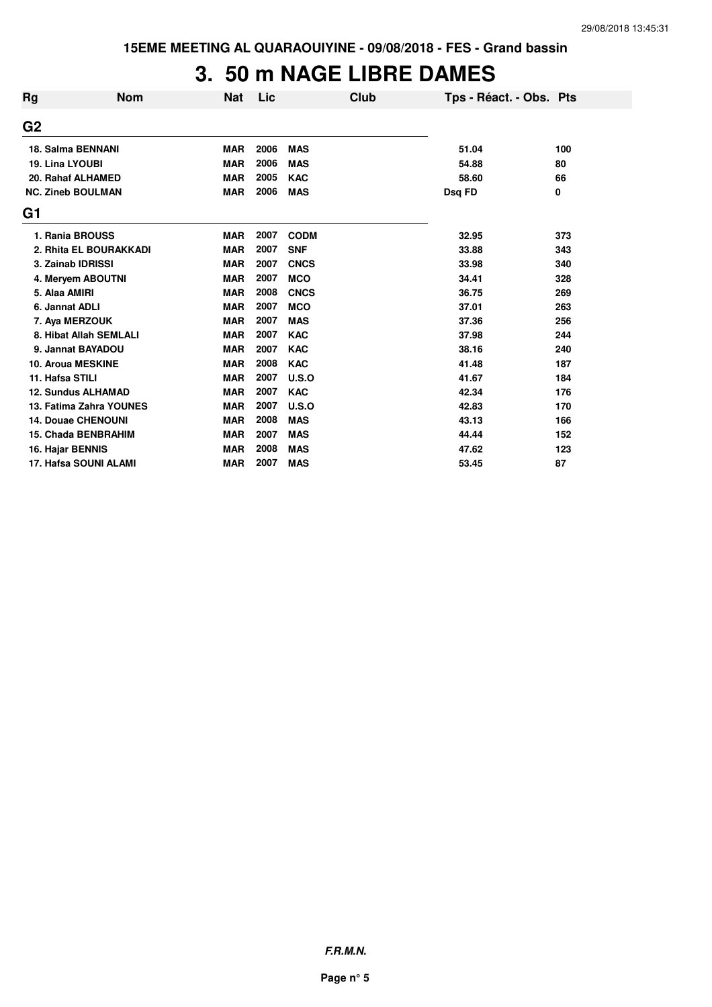# **3. 50 m NAGE LIBRE DAMES**

| Rg               | <b>Nom</b>                 | <b>Nat</b> | Lic  | Club        | Tps - Réact. - Obs. Pts |     |
|------------------|----------------------------|------------|------|-------------|-------------------------|-----|
| G <sub>2</sub>   |                            |            |      |             |                         |     |
|                  | <b>18. Salma BENNANI</b>   | <b>MAR</b> | 2006 | <b>MAS</b>  | 51.04                   | 100 |
| 19. Lina LYOUBI  |                            | <b>MAR</b> | 2006 | <b>MAS</b>  | 54.88                   | 80  |
|                  | 20. Rahaf ALHAMED          | <b>MAR</b> | 2005 | <b>KAC</b>  | 58.60                   | 66  |
|                  | <b>NC. Zineb BOULMAN</b>   | <b>MAR</b> | 2006 | <b>MAS</b>  | Dsq FD                  | 0   |
| G1               |                            |            |      |             |                         |     |
|                  | 1. Rania BROUSS            | <b>MAR</b> | 2007 | <b>CODM</b> | 32.95                   | 373 |
|                  | 2. Rhita EL BOURAKKADI     | <b>MAR</b> | 2007 | <b>SNF</b>  | 33.88                   | 343 |
|                  | 3. Zainab IDRISSI          | <b>MAR</b> | 2007 | <b>CNCS</b> | 33.98                   | 340 |
|                  | 4. Meryem ABOUTNI          | <b>MAR</b> | 2007 | <b>MCO</b>  | 34.41                   | 328 |
| 5. Alaa AMIRI    |                            | <b>MAR</b> | 2008 | <b>CNCS</b> | 36.75                   | 269 |
| 6. Jannat ADLI   |                            | <b>MAR</b> | 2007 | <b>MCO</b>  | 37.01                   | 263 |
|                  | 7. Aya MERZOUK             | <b>MAR</b> | 2007 | <b>MAS</b>  | 37.36                   | 256 |
|                  | 8. Hibat Allah SEMLALI     | <b>MAR</b> | 2007 | <b>KAC</b>  | 37.98                   | 244 |
|                  | 9. Jannat BAYADOU          | <b>MAR</b> | 2007 | <b>KAC</b>  | 38.16                   | 240 |
|                  | 10. Aroua MESKINE          | <b>MAR</b> | 2008 | <b>KAC</b>  | 41.48                   | 187 |
| 11. Hafsa STILI  |                            | <b>MAR</b> | 2007 | U.S.O       | 41.67                   | 184 |
|                  | 12. Sundus ALHAMAD         | <b>MAR</b> | 2007 | <b>KAC</b>  | 42.34                   | 176 |
|                  | 13. Fatima Zahra YOUNES    | <b>MAR</b> | 2007 | U.S.O       | 42.83                   | 170 |
|                  | <b>14. Douae CHENOUNI</b>  | <b>MAR</b> | 2008 | <b>MAS</b>  | 43.13                   | 166 |
|                  | <b>15. Chada BENBRAHIM</b> | <b>MAR</b> | 2007 | <b>MAS</b>  | 44.44                   | 152 |
| 16. Hajar BENNIS |                            | <b>MAR</b> | 2008 | <b>MAS</b>  | 47.62                   | 123 |
|                  | 17. Hafsa SOUNI ALAMI      | <b>MAR</b> | 2007 | <b>MAS</b>  | 53.45                   | 87  |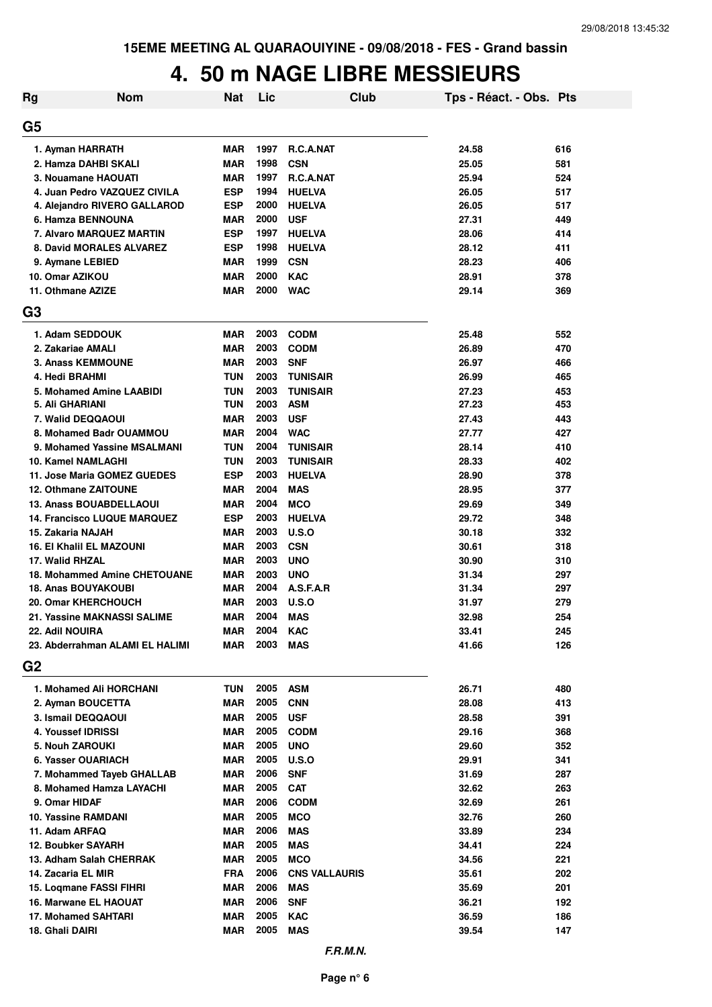# **4. 50 m NAGE LIBRE MESSIEURS**

| <b>Rg</b>      | <b>Nom</b>                         | Nat        | Lic  | Club                 | Tps - Réact. - Obs. Pts |     |
|----------------|------------------------------------|------------|------|----------------------|-------------------------|-----|
| G5             |                                    |            |      |                      |                         |     |
|                | 1. Ayman HARRATH                   | <b>MAR</b> | 1997 | <b>R.C.A.NAT</b>     | 24.58                   | 616 |
|                | 2. Hamza DAHBI SKALI               | <b>MAR</b> | 1998 | <b>CSN</b>           | 25.05                   | 581 |
|                | 3. Nouamane HAOUATI                | <b>MAR</b> | 1997 | R.C.A.NAT            | 25.94                   | 524 |
|                | 4. Juan Pedro VAZQUEZ CIVILA       | <b>ESP</b> | 1994 | <b>HUELVA</b>        | 26.05                   | 517 |
|                | 4. Alejandro RIVERO GALLAROD       | <b>ESP</b> | 2000 | <b>HUELVA</b>        | 26.05                   | 517 |
|                | 6. Hamza BENNOUNA                  | <b>MAR</b> | 2000 | <b>USF</b>           | 27.31                   | 449 |
|                | 7. Alvaro MARQUEZ MARTIN           | <b>ESP</b> | 1997 | <b>HUELVA</b>        | 28.06                   | 414 |
|                | 8. David MORALES ALVAREZ           | <b>ESP</b> | 1998 | <b>HUELVA</b>        | 28.12                   | 411 |
|                | 9. Aymane LEBIED                   | <b>MAR</b> | 1999 | <b>CSN</b>           | 28.23                   | 406 |
|                | 10. Omar AZIKOU                    | <b>MAR</b> | 2000 | <b>KAC</b>           | 28.91                   | 378 |
|                | 11. Othmane AZIZE                  | <b>MAR</b> | 2000 | <b>WAC</b>           | 29.14                   | 369 |
| G <sub>3</sub> |                                    |            |      |                      |                         |     |
|                | 1. Adam SEDDOUK                    | <b>MAR</b> | 2003 | <b>CODM</b>          | 25.48                   | 552 |
|                | 2. Zakariae AMALI                  | <b>MAR</b> | 2003 | <b>CODM</b>          | 26.89                   | 470 |
|                | <b>3. Anass KEMMOUNE</b>           | <b>MAR</b> | 2003 | <b>SNF</b>           | 26.97                   | 466 |
|                | 4. Hedi BRAHMI                     | <b>TUN</b> | 2003 | <b>TUNISAIR</b>      | 26.99                   | 465 |
|                | 5. Mohamed Amine LAABIDI           | <b>TUN</b> | 2003 | <b>TUNISAIR</b>      | 27.23                   | 453 |
|                | 5. Ali GHARIANI                    | TUN        | 2003 | <b>ASM</b>           | 27.23                   | 453 |
|                | 7. Walid DEQQAOUI                  | <b>MAR</b> | 2003 | <b>USF</b>           | 27.43                   | 443 |
|                | 8. Mohamed Badr OUAMMOU            | <b>MAR</b> | 2004 | <b>WAC</b>           | 27.77                   | 427 |
|                | 9. Mohamed Yassine MSALMANI        | <b>TUN</b> | 2004 | <b>TUNISAIR</b>      | 28.14                   | 410 |
|                | 10. Kamel NAMLAGHI                 | <b>TUN</b> | 2003 | <b>TUNISAIR</b>      | 28.33                   | 402 |
|                | 11. Jose Maria GOMEZ GUEDES        | <b>ESP</b> | 2003 | <b>HUELVA</b>        | 28.90                   | 378 |
|                | 12. Othmane ZAITOUNE               | <b>MAR</b> | 2004 | <b>MAS</b>           | 28.95                   | 377 |
|                | <b>13. Anass BOUABDELLAOUI</b>     | <b>MAR</b> | 2004 | <b>MCO</b>           | 29.69                   | 349 |
|                | <b>14. Francisco LUQUE MARQUEZ</b> | <b>ESP</b> | 2003 | <b>HUELVA</b>        | 29.72                   | 348 |
|                | 15. Zakaria NAJAH                  | <b>MAR</b> | 2003 | U.S.O                | 30.18                   | 332 |
|                | <b>16. El Khalil EL MAZOUNI</b>    | <b>MAR</b> | 2003 | <b>CSN</b>           | 30.61                   | 318 |
|                | 17. Walid RHZAL                    | <b>MAR</b> | 2003 | <b>UNO</b>           | 30.90                   | 310 |
|                | 18. Mohammed Amine CHETOUANE       | <b>MAR</b> | 2003 | <b>UNO</b>           | 31.34                   | 297 |
|                | <b>18. Anas BOUYAKOUBI</b>         | <b>MAR</b> | 2004 | A.S.F.A.R            | 31.34                   | 297 |
|                | 20. Omar KHERCHOUCH                | <b>MAR</b> | 2003 | U.S.O                | 31.97                   | 279 |
|                | 21. Yassine MAKNASSI SALIME        | <b>MAR</b> | 2004 | <b>MAS</b>           | 32.98                   | 254 |
|                | 22. Adil NOUIRA                    | MAR        | 2004 | <b>KAC</b>           | 33.41                   | 245 |
|                | 23. Abderrahman ALAMI EL HALIMI    | MAR        | 2003 | <b>MAS</b>           | 41.66                   | 126 |
| G <sub>2</sub> |                                    |            |      |                      |                         |     |
|                | 1. Mohamed Ali HORCHANI            | TUN        | 2005 | <b>ASM</b>           | 26.71                   | 480 |
|                | 2. Ayman BOUCETTA                  | MAR        | 2005 | <b>CNN</b>           | 28.08                   | 413 |
|                | 3. Ismail DEQQAOUI                 | MAR        | 2005 | <b>USF</b>           | 28.58                   | 391 |
|                | 4. Youssef IDRISSI                 | MAR        | 2005 | <b>CODM</b>          | 29.16                   | 368 |
|                | <b>5. Nouh ZAROUKI</b>             | <b>MAR</b> | 2005 | <b>UNO</b>           | 29.60                   | 352 |
|                | 6. Yasser OUARIACH                 | MAR        | 2005 | U.S.O                | 29.91                   | 341 |
|                | 7. Mohammed Tayeb GHALLAB          | MAR        | 2006 | <b>SNF</b>           | 31.69                   | 287 |
|                | 8. Mohamed Hamza LAYACHI           | MAR        | 2005 | <b>CAT</b>           | 32.62                   | 263 |
|                | 9. Omar HIDAF                      | <b>MAR</b> | 2006 | <b>CODM</b>          | 32.69                   | 261 |
|                | 10. Yassine RAMDANI                | MAR        | 2005 | <b>MCO</b>           | 32.76                   | 260 |
|                | 11. Adam ARFAQ                     | MAR        | 2006 | <b>MAS</b>           | 33.89                   | 234 |
|                | <b>12. Boubker SAYARH</b>          | MAR        | 2005 | <b>MAS</b>           | 34.41                   | 224 |
|                | 13. Adham Salah CHERRAK            | MAR        | 2005 | <b>MCO</b>           | 34.56                   | 221 |
|                | 14. Zacaria EL MIR                 | <b>FRA</b> | 2006 | <b>CNS VALLAURIS</b> | 35.61                   | 202 |
|                | 15. Loqmane FASSI FIHRI            | <b>MAR</b> | 2006 | <b>MAS</b>           | 35.69                   | 201 |
|                | 16. Marwane EL HAOUAT              | <b>MAR</b> | 2006 | <b>SNF</b>           | 36.21                   | 192 |
|                | <b>17. Mohamed SAHTARI</b>         | MAR        | 2005 | <b>KAC</b>           | 36.59                   | 186 |
|                | 18. Ghali DAIRI                    | <b>MAR</b> | 2005 | <b>MAS</b>           | 39.54                   | 147 |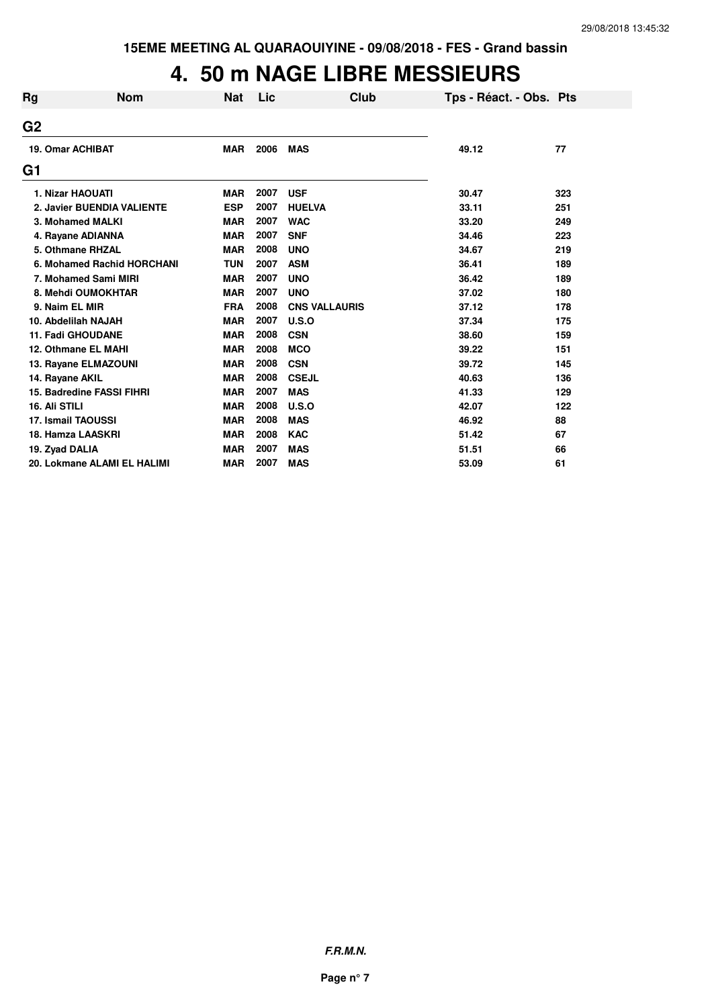# **4. 50 m NAGE LIBRE MESSIEURS**

| <b>Rg</b>       | <b>Nom</b>                       | <b>Nat</b> | Lic  | Club                 | Tps - Réact. - Obs. Pts |     |
|-----------------|----------------------------------|------------|------|----------------------|-------------------------|-----|
| G <sub>2</sub>  |                                  |            |      |                      |                         |     |
|                 | <b>19. Omar ACHIBAT</b>          | <b>MAR</b> | 2006 | <b>MAS</b>           | 49.12                   | 77  |
| G1              |                                  |            |      |                      |                         |     |
|                 | 1. Nizar HAOUATI                 | <b>MAR</b> | 2007 | <b>USF</b>           | 30.47                   | 323 |
|                 | 2. Javier BUENDIA VALIENTE       | <b>ESP</b> | 2007 | <b>HUELVA</b>        | 33.11                   | 251 |
|                 | 3. Mohamed MALKI                 | <b>MAR</b> | 2007 | <b>WAC</b>           | 33.20                   | 249 |
|                 | 4. Rayane ADIANNA                | <b>MAR</b> | 2007 | <b>SNF</b>           | 34.46                   | 223 |
|                 | 5. Othmane RHZAL                 | <b>MAR</b> | 2008 | <b>UNO</b>           | 34.67                   | 219 |
|                 | 6. Mohamed Rachid HORCHANI       | <b>TUN</b> | 2007 | <b>ASM</b>           | 36.41                   | 189 |
|                 | 7. Mohamed Sami MIRI             | <b>MAR</b> | 2007 | <b>UNO</b>           | 36.42                   | 189 |
|                 | 8. Mehdi OUMOKHTAR               | <b>MAR</b> | 2007 | <b>UNO</b>           | 37.02                   | 180 |
|                 | 9. Naim EL MIR                   | <b>FRA</b> | 2008 | <b>CNS VALLAURIS</b> | 37.12                   | 178 |
|                 | 10. Abdelilah NAJAH              | <b>MAR</b> | 2007 | U.S.O                | 37.34                   | 175 |
|                 | <b>11. Fadi GHOUDANE</b>         | <b>MAR</b> | 2008 | <b>CSN</b>           | 38.60                   | 159 |
|                 | 12. Othmane EL MAHI              | <b>MAR</b> | 2008 | <b>MCO</b>           | 39.22                   | 151 |
|                 | 13. Rayane ELMAZOUNI             | <b>MAR</b> | 2008 | <b>CSN</b>           | 39.72                   | 145 |
| 14. Rayane AKIL |                                  | <b>MAR</b> | 2008 | <b>CSEJL</b>         | 40.63                   | 136 |
|                 | <b>15. Badredine FASSI FIHRI</b> | <b>MAR</b> | 2007 | <b>MAS</b>           | 41.33                   | 129 |
| 16. Ali STILI   |                                  | <b>MAR</b> | 2008 | U.S.O                | 42.07                   | 122 |
|                 | 17. Ismail TAOUSSI               | <b>MAR</b> | 2008 | <b>MAS</b>           | 46.92                   | 88  |
|                 | 18. Hamza LAASKRI                | <b>MAR</b> | 2008 | <b>KAC</b>           | 51.42                   | 67  |
| 19. Zyad DALIA  |                                  | <b>MAR</b> | 2007 | <b>MAS</b>           | 51.51                   | 66  |
|                 | 20. Lokmane ALAMI EL HALIMI      | <b>MAR</b> | 2007 | <b>MAS</b>           | 53.09                   | 61  |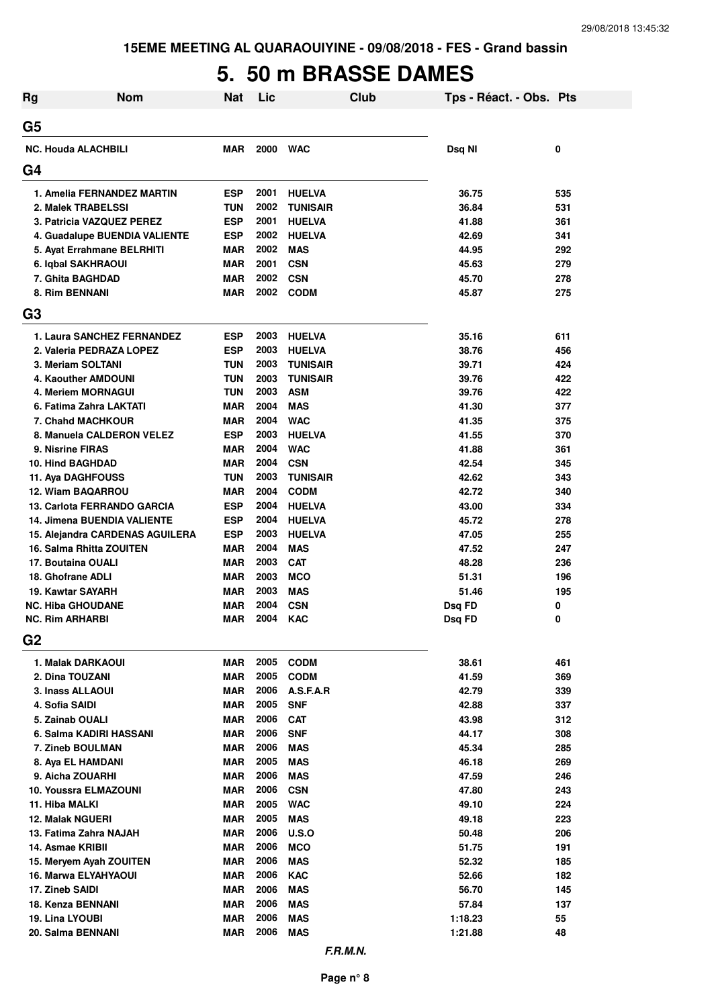# **5. 50 m BRASSE DAMES**

| Rg             | <b>Nom</b>                                 | <b>Nat</b>               | Lic          |                             | <b>Club</b> | Tps - Réact. - Obs. Pts |            |
|----------------|--------------------------------------------|--------------------------|--------------|-----------------------------|-------------|-------------------------|------------|
| G5             |                                            |                          |              |                             |             |                         |            |
|                | <b>NC. Houda ALACHBILI</b>                 | <b>MAR</b>               | 2000         | <b>WAC</b>                  |             | Dsq NI                  | 0          |
| G4             |                                            |                          |              |                             |             |                         |            |
|                | 1. Amelia FERNANDEZ MARTIN                 | <b>ESP</b>               | 2001         | <b>HUELVA</b>               |             | 36.75                   | 535        |
|                | 2. Malek TRABELSSI                         | <b>TUN</b>               | 2002         | <b>TUNISAIR</b>             |             | 36.84                   | 531        |
|                | 3. Patricia VAZQUEZ PEREZ                  | <b>ESP</b>               | 2001         | <b>HUELVA</b>               |             | 41.88                   | 361        |
|                | 4. Guadalupe BUENDIA VALIENTE              | <b>ESP</b>               | 2002         | <b>HUELVA</b>               |             | 42.69                   | 341        |
|                | 5. Ayat Errahmane BELRHITI                 | <b>MAR</b>               | 2002         | <b>MAS</b>                  |             | 44.95                   | 292        |
|                | 6. Iqbal SAKHRAOUI                         | <b>MAR</b>               | 2001         | <b>CSN</b>                  |             | 45.63                   | 279        |
|                | 7. Ghita BAGHDAD                           | <b>MAR</b>               | 2002         | <b>CSN</b>                  |             | 45.70                   | 278        |
|                | 8. Rim BENNANI                             | <b>MAR</b>               | 2002         | <b>CODM</b>                 |             | 45.87                   | 275        |
| G3             |                                            |                          |              |                             |             |                         |            |
|                | 1. Laura SANCHEZ FERNANDEZ                 | <b>ESP</b>               | 2003         | <b>HUELVA</b>               |             | 35.16                   | 611        |
|                | 2. Valeria PEDRAZA LOPEZ                   | <b>ESP</b>               | 2003         | <b>HUELVA</b>               |             | 38.76                   | 456        |
|                | 3. Meriam SOLTANI                          | <b>TUN</b>               | 2003         | <b>TUNISAIR</b>             |             | 39.71                   | 424        |
|                | 4. Kaouther AMDOUNI                        | <b>TUN</b>               | 2003         | <b>TUNISAIR</b>             |             | 39.76                   | 422        |
|                | 4. Meriem MORNAGUI                         | <b>TUN</b>               | 2003         | <b>ASM</b>                  |             | 39.76                   | 422        |
|                | 6. Fatima Zahra LAKTATI                    | <b>MAR</b>               | 2004         | <b>MAS</b>                  |             | 41.30                   | 377        |
|                | <b>7. Chahd MACHKOUR</b>                   | <b>MAR</b>               | 2004         | <b>WAC</b>                  |             | 41.35                   | 375        |
|                | 8. Manuela CALDERON VELEZ                  | <b>ESP</b>               | 2003<br>2004 | <b>HUELVA</b><br><b>WAC</b> |             | 41.55                   | 370        |
|                | 9. Nisrine FIRAS<br>10. Hind BAGHDAD       | <b>MAR</b><br><b>MAR</b> | 2004         | <b>CSN</b>                  |             | 41.88<br>42.54          | 361<br>345 |
|                | 11. Aya DAGHFOUSS                          | <b>TUN</b>               | 2003         | <b>TUNISAIR</b>             |             | 42.62                   | 343        |
|                | 12. Wiam BAQARROU                          | <b>MAR</b>               | 2004         | <b>CODM</b>                 |             | 42.72                   | 340        |
|                | 13. Carlota FERRANDO GARCIA                | <b>ESP</b>               | 2004         | <b>HUELVA</b>               |             | 43.00                   | 334        |
|                | <b>14. Jimena BUENDIA VALIENTE</b>         | ESP                      | 2004         | <b>HUELVA</b>               |             | 45.72                   | 278        |
|                | 15. Alejandra CARDENAS AGUILERA            | ESP                      | 2003         | <b>HUELVA</b>               |             | 47.05                   | 255        |
|                | 16. Salma Rhitta ZOUITEN                   | <b>MAR</b>               | 2004         | <b>MAS</b>                  |             | 47.52                   | 247        |
|                | 17. Boutaina OUALI                         | MAR                      | 2003         | <b>CAT</b>                  |             | 48.28                   | 236        |
|                | 18. Ghofrane ADLI                          | MAR                      | 2003         | <b>MCO</b>                  |             | 51.31                   | 196        |
|                | 19. Kawtar SAYARH                          | MAR                      | 2003         | <b>MAS</b>                  |             | 51.46                   | 195        |
|                | <b>NC. Hiba GHOUDANE</b>                   | <b>MAR</b>               | 2004         | <b>CSN</b>                  |             | Dsg FD                  | 0          |
|                | NC. Rim ARHARBI                            | <b>MAR</b>               | 2004         | <b>KAC</b>                  |             | Dsq FD                  | 0          |
| G <sub>2</sub> |                                            |                          |              |                             |             |                         |            |
|                | 1. Malak DARKAOUI                          | MAR                      | 2005         | <b>CODM</b>                 |             | 38.61                   | 461        |
|                | 2. Dina TOUZANI                            | MAR                      | 2005         | <b>CODM</b>                 |             | 41.59                   | 369        |
|                | 3. Inass ALLAOUI                           | MAR                      |              | 2006 A.S.F.A.R              |             | 42.79                   | 339        |
|                | 4. Sofia SAIDI                             | <b>MAR</b>               | 2005         | <b>SNF</b>                  |             | 42.88                   | 337        |
|                | 5. Zainab OUALI                            | <b>MAR</b>               | 2006         | <b>CAT</b>                  |             | 43.98                   | 312        |
|                | 6. Salma KADIRI HASSANI                    | MAR                      | 2006         | <b>SNF</b>                  |             | 44.17                   | 308        |
|                | 7. Zineb BOULMAN                           | MAR                      | 2006         | <b>MAS</b>                  |             | 45.34                   | 285        |
|                | 8. Aya EL HAMDANI                          | MAR                      | 2005         | <b>MAS</b>                  |             | 46.18                   | 269        |
|                | 9. Aicha ZOUARHI                           | MAR                      | 2006         | <b>MAS</b>                  |             | 47.59                   | 246        |
|                | 10. Youssra ELMAZOUNI                      | <b>MAR</b>               | 2006<br>2005 | <b>CSN</b>                  |             | 47.80                   | 243        |
|                | 11. Hiba MALKI<br><b>12. Malak NGUERI</b>  | <b>MAR</b><br><b>MAR</b> | 2005         | <b>WAC</b><br><b>MAS</b>    |             | 49.10<br>49.18          | 224<br>223 |
|                |                                            | <b>MAR</b>               | 2006         |                             |             |                         |            |
|                | 13. Fatima Zahra NAJAH<br>14. Asmae KRIBII | <b>MAR</b>               | 2006         | <b>U.S.O</b><br><b>MCO</b>  |             | 50.48<br>51.75          | 206<br>191 |
|                | 15. Meryem Ayah ZOUITEN                    | <b>MAR</b>               | 2006         | <b>MAS</b>                  |             | 52.32                   | 185        |
|                | <b>16. Marwa ELYAHYAOUI</b>                | <b>MAR</b>               | 2006         | <b>KAC</b>                  |             | 52.66                   | 182        |
|                | 17. Zineb SAIDI                            | <b>MAR</b>               | 2006         | <b>MAS</b>                  |             | 56.70                   | 145        |
|                | 18. Kenza BENNANI                          | <b>MAR</b>               | 2006         | <b>MAS</b>                  |             | 57.84                   | 137        |
|                | 19. Lina LYOUBI                            | <b>MAR</b>               | 2006         | <b>MAS</b>                  |             | 1:18.23                 | 55         |
|                | 20. Salma BENNANI                          | MAR                      | 2006         | <b>MAS</b>                  |             | 1:21.88                 | 48         |
|                |                                            |                          |              |                             |             |                         |            |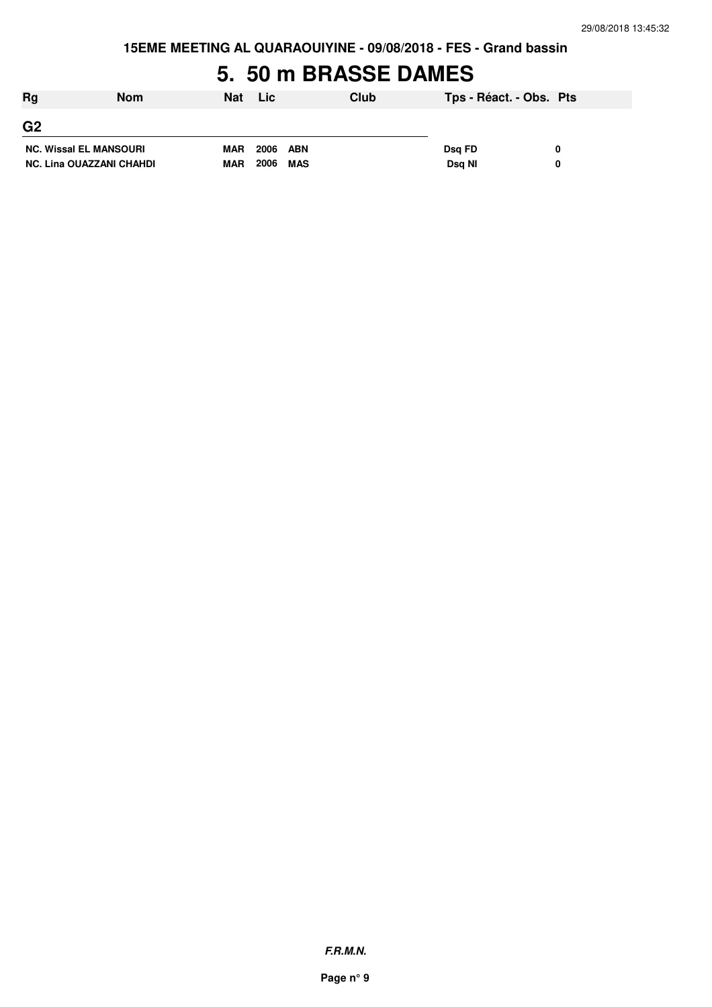**15EME MEETING AL QUARAOUIYINE - 09/08/2018 - FES - Grand bassin**

# **5. 50 m BRASSE DAMES**

| Rg                              | Nom | <b>Nat</b> | Lic         | Club | Tps - Réact. - Obs. Pts |  |
|---------------------------------|-----|------------|-------------|------|-------------------------|--|
| G <sub>2</sub>                  |     |            |             |      |                         |  |
| <b>NC. Wissal EL MANSOURI</b>   |     | <b>MAR</b> | 2006<br>ABN |      | Dsg FD                  |  |
| <b>NC. Lina OUAZZANI CHAHDI</b> |     | <b>MAR</b> | 2006<br>MAS |      | Dsg NI                  |  |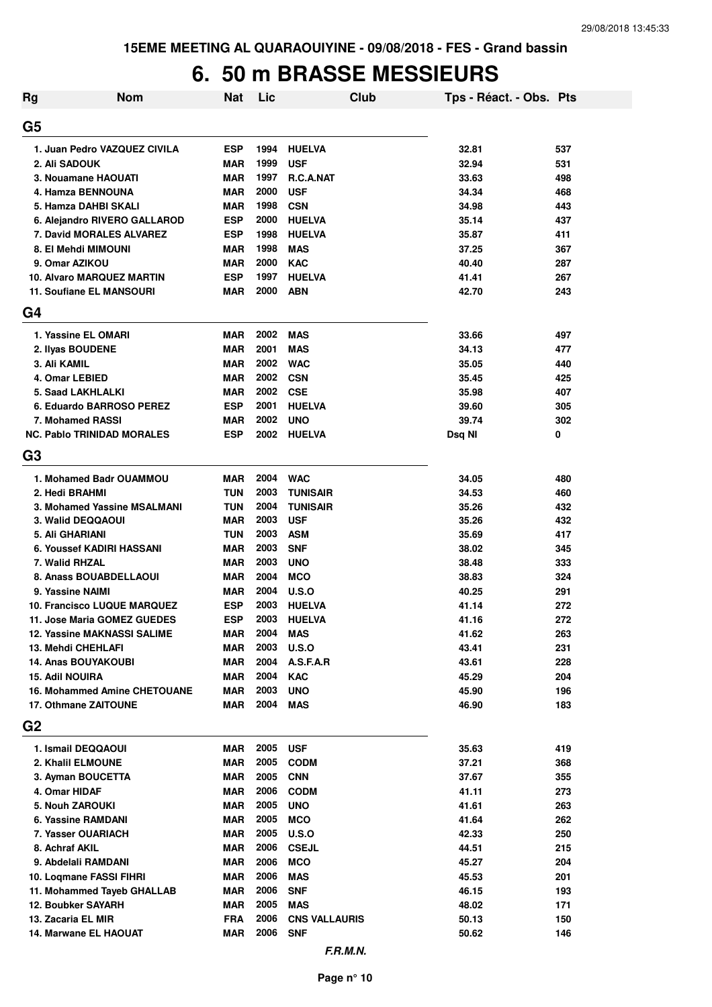# **6. 50 m BRASSE MESSIEURS**

| Rg                                     | <b>Nom</b>                   | <b>Nat</b> | Lic  |                               | Club | Tps - Réact. - Obs. Pts |            |
|----------------------------------------|------------------------------|------------|------|-------------------------------|------|-------------------------|------------|
| G5                                     |                              |            |      |                               |      |                         |            |
| 1. Juan Pedro VAZQUEZ CIVILA           |                              | <b>ESP</b> | 1994 | <b>HUELVA</b>                 |      | 32.81                   | 537        |
| 2. Ali SADOUK                          |                              | <b>MAR</b> | 1999 | <b>USF</b>                    |      | 32.94                   | 531        |
| 3. Nouamane HAOUATI                    |                              | <b>MAR</b> | 1997 | R.C.A.NAT                     |      | 33.63                   | 498        |
| 4. Hamza BENNOUNA                      |                              | <b>MAR</b> | 2000 | <b>USF</b>                    |      | 34.34                   | 468        |
| 5. Hamza DAHBI SKALI                   |                              | <b>MAR</b> | 1998 | <b>CSN</b>                    |      | 34.98                   | 443        |
|                                        | 6. Alejandro RIVERO GALLAROD | <b>ESP</b> | 2000 | <b>HUELVA</b>                 |      | 35.14                   | 437        |
| 7. David MORALES ALVAREZ               |                              | <b>ESP</b> | 1998 | <b>HUELVA</b>                 |      | 35.87                   | 411        |
| 8. El Mehdi MIMOUNI                    |                              | <b>MAR</b> | 1998 | <b>MAS</b>                    |      | 37.25                   | 367        |
| 9. Omar AZIKOU                         |                              | <b>MAR</b> | 2000 | <b>KAC</b>                    |      | 40.40                   | 287        |
| <b>10. Alvaro MARQUEZ MARTIN</b>       |                              | <b>ESP</b> | 1997 | <b>HUELVA</b>                 |      | 41.41                   | 267        |
| 11. Soufiane EL MANSOURI               |                              | <b>MAR</b> | 2000 | <b>ABN</b>                    |      | 42.70                   | 243        |
| G4                                     |                              |            |      |                               |      |                         |            |
| 1. Yassine EL OMARI                    |                              | <b>MAR</b> | 2002 | <b>MAS</b>                    |      | 33.66                   | 497        |
| 2. Ilyas BOUDENE                       |                              | <b>MAR</b> | 2001 | <b>MAS</b>                    |      | 34.13                   | 477        |
| 3. Ali KAMIL                           |                              | <b>MAR</b> | 2002 | <b>WAC</b>                    |      | 35.05                   | 440        |
| 4. Omar LEBIED                         |                              | <b>MAR</b> | 2002 | <b>CSN</b>                    |      | 35.45                   | 425        |
| 5. Saad LAKHLALKI                      |                              | <b>MAR</b> | 2002 | <b>CSE</b>                    |      | 35.98                   | 407        |
| 6. Eduardo BARROSO PEREZ               |                              | <b>ESP</b> | 2001 | <b>HUELVA</b>                 |      | 39.60                   | 305        |
| 7. Mohamed RASSI                       |                              | <b>MAR</b> | 2002 | <b>UNO</b>                    |      | 39.74                   | 302        |
| <b>NC. Pablo TRINIDAD MORALES</b>      |                              | <b>ESP</b> | 2002 | <b>HUELVA</b>                 |      | Dsq NI                  | 0          |
| G3                                     |                              |            |      |                               |      |                         |            |
| 1. Mohamed Badr OUAMMOU                |                              | <b>MAR</b> | 2004 | <b>WAC</b>                    |      | 34.05                   | 480        |
| 2. Hedi BRAHMI                         |                              | TUN        | 2003 | <b>TUNISAIR</b>               |      | 34.53                   | 460        |
|                                        | 3. Mohamed Yassine MSALMANI  | <b>TUN</b> | 2004 |                               |      | 35.26                   |            |
| 3. Walid DEQQAOUI                      |                              | <b>MAR</b> | 2003 | <b>TUNISAIR</b><br><b>USF</b> |      | 35.26                   | 432<br>432 |
| 5. Ali GHARIANI                        |                              | TUN        | 2003 | <b>ASM</b>                    |      | 35.69                   | 417        |
| 6. Youssef KADIRI HASSANI              |                              | <b>MAR</b> | 2003 | <b>SNF</b>                    |      | 38.02                   | 345        |
| 7. Walid RHZAL                         |                              | <b>MAR</b> | 2003 | <b>UNO</b>                    |      | 38.48                   | 333        |
| 8. Anass BOUABDELLAOUI                 |                              | <b>MAR</b> | 2004 | <b>MCO</b>                    |      | 38.83                   | 324        |
| 9. Yassine NAIMI                       |                              | <b>MAR</b> | 2004 | <b>U.S.O</b>                  |      | 40.25                   | 291        |
| <b>10. Francisco LUQUE MARQUEZ</b>     |                              | <b>ESP</b> | 2003 | <b>HUELVA</b>                 |      | 41.14                   | 272        |
| 11. Jose Maria GOMEZ GUEDES            |                              | <b>ESP</b> | 2003 | <b>HUELVA</b>                 |      | 41.16                   | 272        |
|                                        |                              |            |      |                               |      |                         |            |
| 12. Yassine MAKNASSI SALIME            |                              | MAR        | 2004 | <b>MAS</b>                    |      | 41.62                   | 263        |
| 13. Mehdi CHEHLAFI                     |                              | <b>MAR</b> | 2003 | U.S.O                         |      | 43.41                   | 231        |
| <b>14. Anas BOUYAKOUBI</b>             |                              | <b>MAR</b> | 2004 | A.S.F.A.R                     |      | 43.61                   | 228        |
| <b>15. Adil NOUIRA</b>                 |                              | <b>MAR</b> | 2004 | <b>KAC</b>                    |      | 45.29                   | 204        |
|                                        | 16. Mohammed Amine CHETOUANE | <b>MAR</b> | 2003 | <b>UNO</b>                    |      | 45.90                   | 196        |
| 17. Othmane ZAITOUNE<br>G <sub>2</sub> |                              | <b>MAR</b> | 2004 | <b>MAS</b>                    |      | 46.90                   | 183        |
|                                        |                              |            |      |                               |      |                         |            |
| 1. Ismail DEQQAOUI                     |                              | MAR        | 2005 | <b>USF</b>                    |      | 35.63                   | 419        |
| 2. Khalil ELMOUNE                      |                              | <b>MAR</b> | 2005 | <b>CODM</b>                   |      | 37.21                   | 368        |
| 3. Ayman BOUCETTA                      |                              | <b>MAR</b> | 2005 | <b>CNN</b>                    |      | 37.67                   | 355        |
| 4. Omar HIDAF                          |                              | <b>MAR</b> | 2006 | <b>CODM</b>                   |      | 41.11                   | 273        |
| 5. Nouh ZAROUKI                        |                              | <b>MAR</b> | 2005 | <b>UNO</b>                    |      | 41.61                   | 263        |
| 6. Yassine RAMDANI                     |                              | <b>MAR</b> | 2005 | <b>MCO</b>                    |      | 41.64                   | 262        |
| 7. Yasser OUARIACH                     |                              | <b>MAR</b> | 2005 | U.S.O                         |      | 42.33                   | 250        |
| 8. Achraf AKIL                         |                              | <b>MAR</b> | 2006 | <b>CSEJL</b>                  |      | 44.51                   | 215        |
| 9. Abdelali RAMDANI                    |                              | <b>MAR</b> | 2006 | <b>MCO</b>                    |      | 45.27                   | 204        |
| 10. Logmane FASSI FIHRI                |                              | <b>MAR</b> | 2006 | <b>MAS</b>                    |      | 45.53                   | 201        |
| 11. Mohammed Tayeb GHALLAB             |                              | <b>MAR</b> | 2006 | <b>SNF</b>                    |      | 46.15                   | 193        |
| 12. Boubker SAYARH                     |                              | <b>MAR</b> | 2005 | <b>MAS</b>                    |      | 48.02                   | 171        |
| 13. Zacaria EL MIR                     |                              | <b>FRA</b> | 2006 | <b>CNS VALLAURIS</b>          |      | 50.13                   | 150        |
| 14. Marwane EL HAOUAT                  |                              | MAR        | 2006 | <b>SNF</b>                    |      | 50.62                   | 146        |
|                                        |                              |            |      |                               |      |                         |            |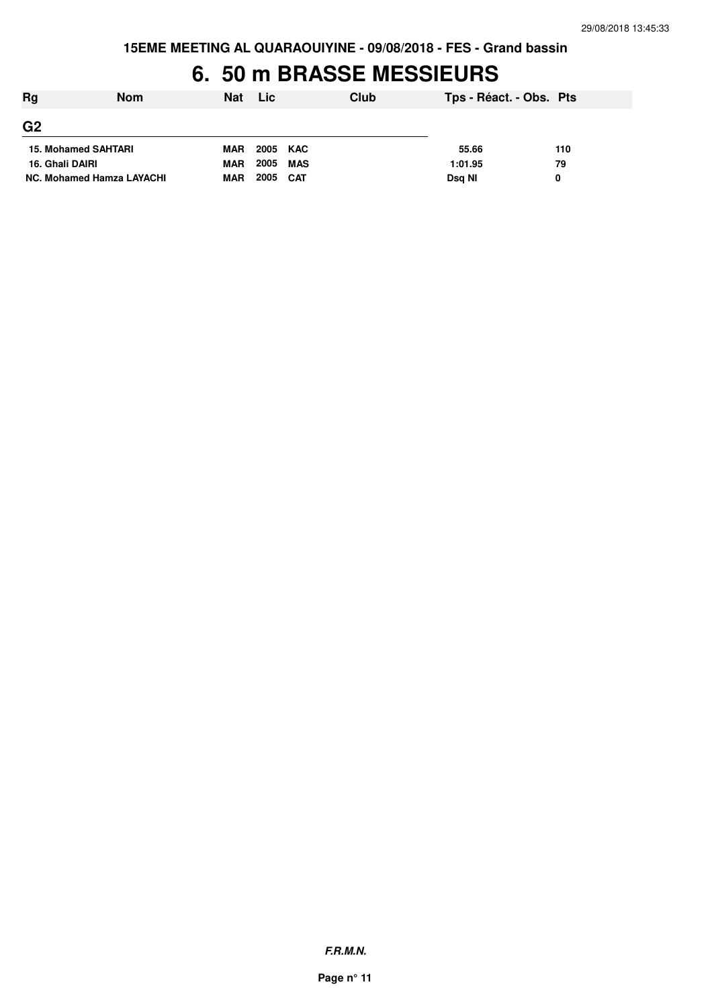**15EME MEETING AL QUARAOUIYINE - 09/08/2018 - FES - Grand bassin**

# **6. 50 m BRASSE MESSIEURS**

| Rg                         | <b>Nom</b> | <b>Nat</b> | Lic      |            | Club | Tps - Réact. - Obs. Pts |     |
|----------------------------|------------|------------|----------|------------|------|-------------------------|-----|
| G <sub>2</sub>             |            |            |          |            |      |                         |     |
| <b>15. Mohamed SAHTARI</b> |            | <b>MAR</b> | 2005 KAC |            |      | 55.66                   | 110 |
| 16. Ghali DAIRI            |            | <b>MAR</b> | 2005     | MAS        |      | 1:01.95                 | 79  |
| NC. Mohamed Hamza LAYACHI  |            | <b>MAR</b> | 2005     | <b>CAT</b> |      | Dsg NI                  | 0   |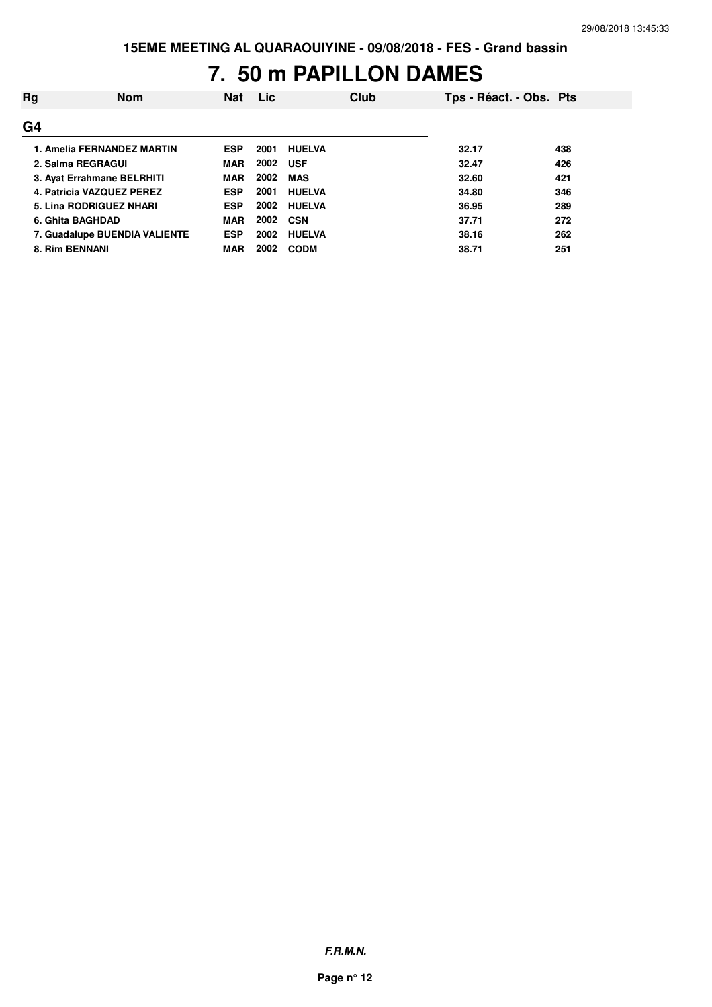# **7. 50 m PAPILLON DAMES**

| Rg             | <b>Nom</b>                    | <b>Nat</b> | <b>Lic</b> |               | Club | Tps - Réact. - Obs. Pts |     |
|----------------|-------------------------------|------------|------------|---------------|------|-------------------------|-----|
| G <sub>4</sub> |                               |            |            |               |      |                         |     |
|                | 1. Amelia FERNANDEZ MARTIN    | <b>ESP</b> | 2001       | <b>HUELVA</b> |      | 32.17                   | 438 |
|                | 2. Salma REGRAGUI             | <b>MAR</b> | 2002       | <b>USF</b>    |      | 32.47                   | 426 |
|                | 3. Avat Errahmane BELRHITI    | <b>MAR</b> | 2002       | <b>MAS</b>    |      | 32.60                   | 421 |
|                | 4. Patricia VAZQUEZ PEREZ     | <b>ESP</b> | 2001       | <b>HUELVA</b> |      | 34.80                   | 346 |
|                | 5. Lina RODRIGUEZ NHARI       | <b>ESP</b> | 2002       | <b>HUELVA</b> |      | 36.95                   | 289 |
|                | 6. Ghita BAGHDAD              | <b>MAR</b> | 2002 CSN   |               |      | 37.71                   | 272 |
|                | 7. Guadalupe BUENDIA VALIENTE | <b>ESP</b> | 2002       | <b>HUELVA</b> |      | 38.16                   | 262 |
|                | 8. Rim BENNANI                | <b>MAR</b> | 2002       | <b>CODM</b>   |      | 38.71                   | 251 |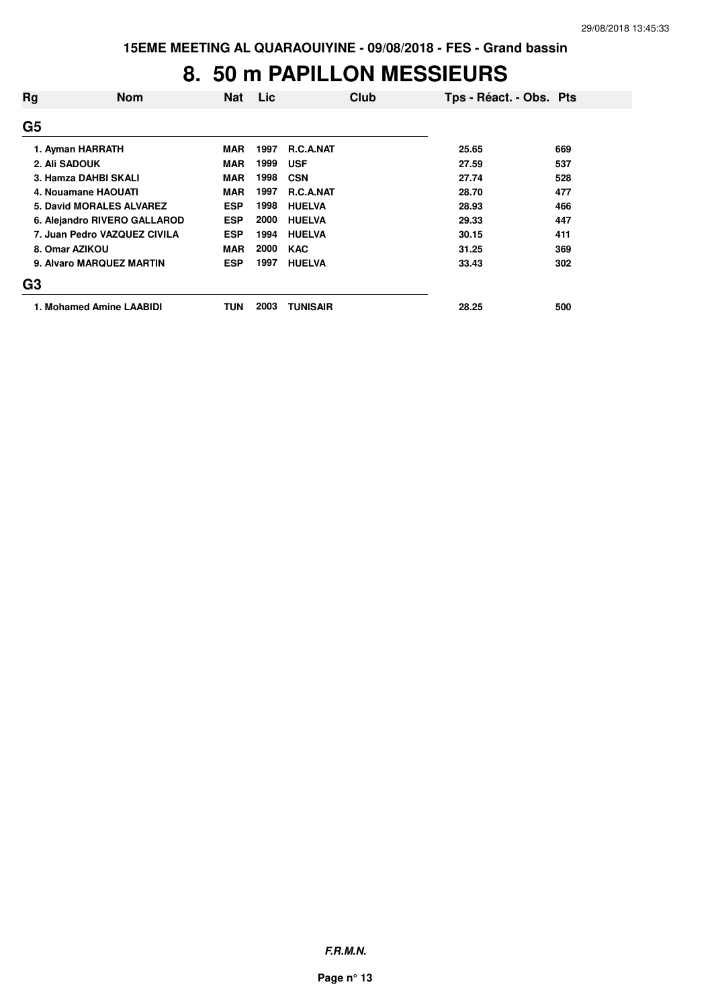#### **8. 50 m PAPILLON MESSIEURS**

| Rg                       | <b>Nom</b>                   | <b>Nat</b> | Lic  | Club             | Tps - Réact. - Obs. Pts |     |
|--------------------------|------------------------------|------------|------|------------------|-------------------------|-----|
| G <sub>5</sub>           |                              |            |      |                  |                         |     |
|                          | 1. Ayman HARRATH             | <b>MAR</b> | 1997 | <b>R.C.A.NAT</b> | 25.65                   | 669 |
|                          | 2. Ali SADOUK                | <b>MAR</b> | 1999 | <b>USF</b>       | 27.59                   | 537 |
| 3. Hamza DAHBI SKALI     |                              | <b>MAR</b> | 1998 | <b>CSN</b>       | 27.74                   | 528 |
| 4. Nouamane HAOUATI      |                              | <b>MAR</b> | 1997 | <b>R.C.A.NAT</b> | 28.70                   | 477 |
| 5. David MORALES ALVAREZ |                              | <b>ESP</b> | 1998 | <b>HUELVA</b>    | 28.93                   | 466 |
|                          | 6. Alejandro RIVERO GALLAROD | <b>ESP</b> | 2000 | <b>HUELVA</b>    | 29.33                   | 447 |
|                          | 7. Juan Pedro VAZQUEZ CIVILA | <b>ESP</b> | 1994 | <b>HUELVA</b>    | 30.15                   | 411 |
|                          | 8. Omar AZIKOU               | <b>MAR</b> | 2000 | <b>KAC</b>       | 31.25                   | 369 |
|                          | 9. Alvaro MARQUEZ MARTIN     | <b>ESP</b> | 1997 | <b>HUELVA</b>    | 33.43                   | 302 |
| G <sub>3</sub>           |                              |            |      |                  |                         |     |
|                          | 1. Mohamed Amine LAABIDI     | TUN        | 2003 | <b>TUNISAIR</b>  | 28.25                   | 500 |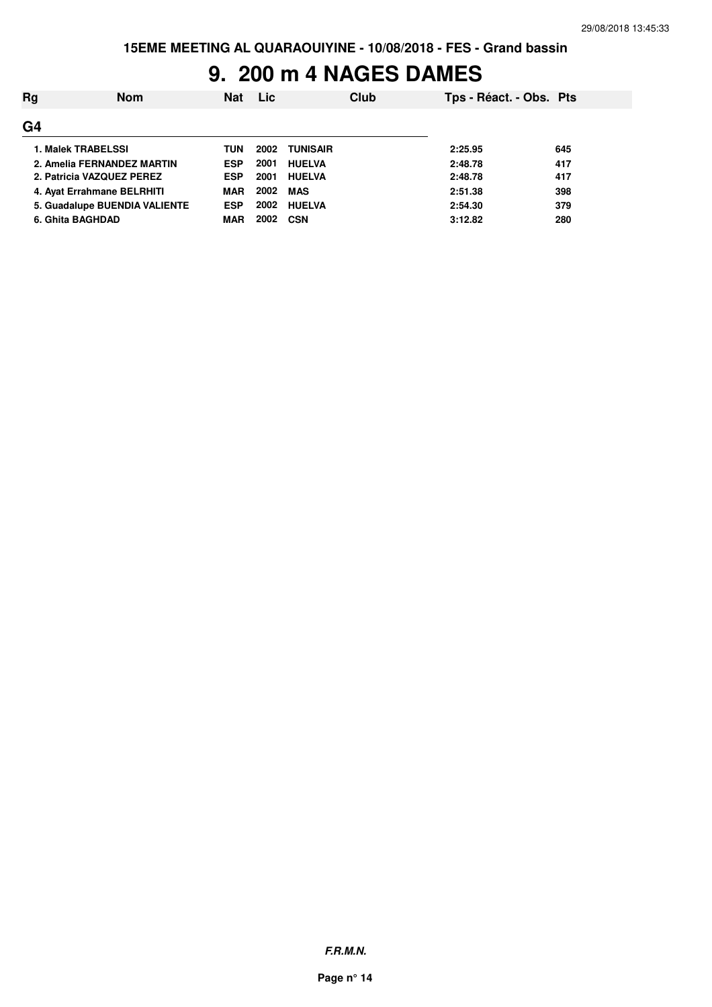# **9. 200 m 4 NAGES DAMES**

| Rg               | Nom                           | <b>Nat</b> | Lic  | Club          |         | Tps - Réact. - Obs. Pts |  |
|------------------|-------------------------------|------------|------|---------------|---------|-------------------------|--|
| G <sub>4</sub>   |                               |            |      |               |         |                         |  |
|                  | 1. Malek TRABELSSI            | TUN        | 2002 | TUNISAIR      | 2:25.95 | 645                     |  |
|                  | 2. Amelia FERNANDEZ MARTIN    | <b>ESP</b> | 2001 | <b>HUELVA</b> | 2:48.78 | 417                     |  |
|                  | 2. Patricia VAZQUEZ PEREZ     | <b>ESP</b> | 2001 | <b>HUELVA</b> | 2:48.78 | 417                     |  |
|                  | 4. Ayat Errahmane BELRHITI    | <b>MAR</b> | 2002 | MAS           | 2:51.38 | 398                     |  |
|                  | 5. Guadalupe BUENDIA VALIENTE | <b>ESP</b> | 2002 | <b>HUELVA</b> | 2:54.30 | 379                     |  |
| 6. Ghita BAGHDAD |                               | <b>MAR</b> | 2002 | <b>CSN</b>    | 3:12.82 | 280                     |  |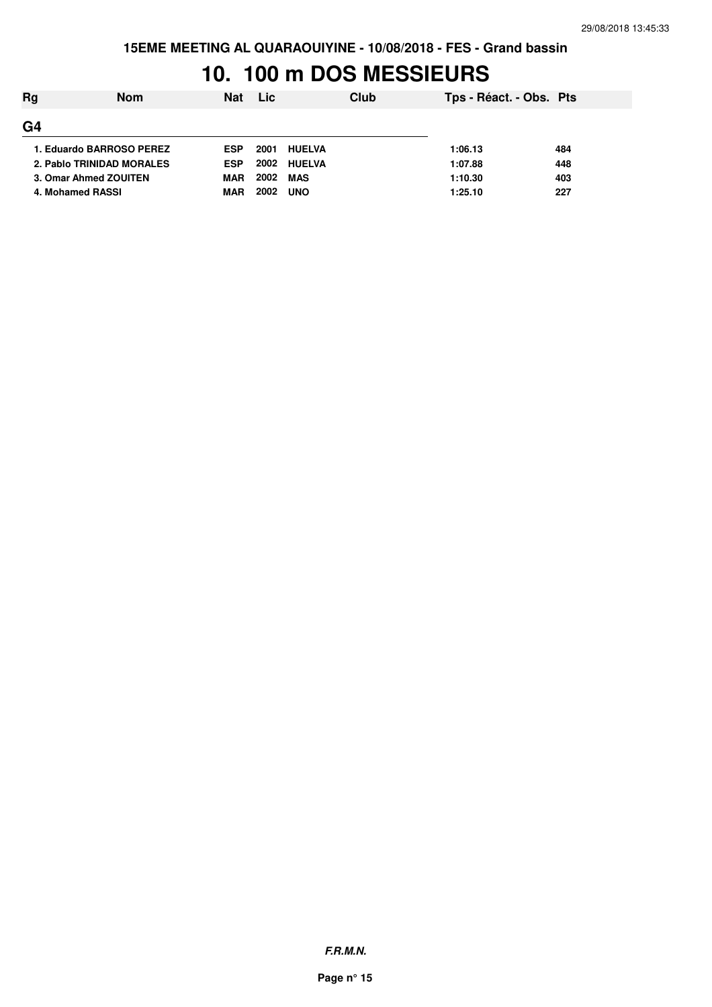# **10. 100 m DOS MESSIEURS**

| Rg                        | <b>Nom</b> | <b>Nat</b> | <b>Lic</b> | Club          | Tps - Réact. - Obs. Pts |     |
|---------------------------|------------|------------|------------|---------------|-------------------------|-----|
| G <sub>4</sub>            |            |            |            |               |                         |     |
| 1. Eduardo BARROSO PEREZ  |            | <b>ESP</b> | 2001       | <b>HUELVA</b> | 1:06.13                 | 484 |
| 2. Pablo TRINIDAD MORALES |            | <b>ESP</b> | 2002       | <b>HUELVA</b> | 1:07.88                 | 448 |
| 3. Omar Ahmed ZOUITEN     |            | <b>MAR</b> | 2002       | MAS           | 1:10.30                 | 403 |
| 4. Mohamed RASSI          |            | <b>MAR</b> | 2002       | <b>UNO</b>    | 1:25.10                 | 227 |